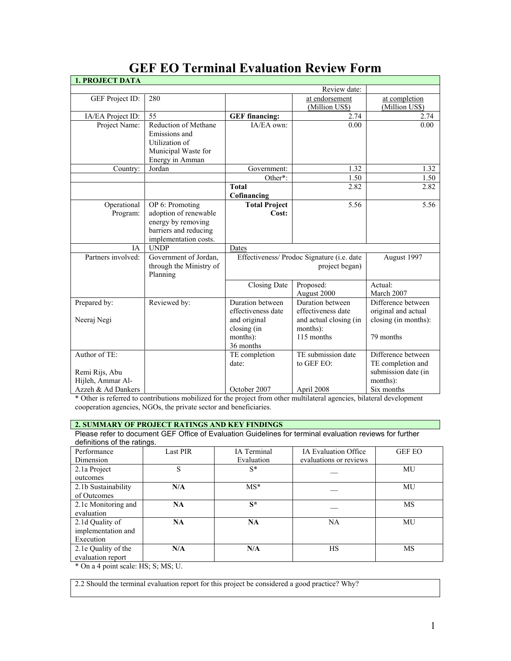| <b>1. PROJECT DATA</b> |                                      |                                                     |                          |                                             |
|------------------------|--------------------------------------|-----------------------------------------------------|--------------------------|---------------------------------------------|
|                        |                                      |                                                     | Review date:             |                                             |
| GEF Project ID:        | 280                                  |                                                     | at endorsement           | at completion                               |
|                        |                                      |                                                     | (Million US\$)           | (Million US\$)                              |
| IA/EA Project ID:      | 55                                   | <b>GEF</b> financing:                               | 2.74                     | 2.74                                        |
| Project Name:          | Reduction of Methane                 | IA/EA own:                                          | 0.00                     | 0.00                                        |
|                        | Emissions and                        |                                                     |                          |                                             |
|                        | Utilization of                       |                                                     |                          |                                             |
|                        | Municipal Waste for                  |                                                     |                          |                                             |
|                        | Energy in Amman                      |                                                     |                          |                                             |
| Country:               | Jordan                               | Government:                                         | 1.32                     | 1.32                                        |
|                        |                                      | Other*:                                             | 1.50                     | 1.50                                        |
|                        |                                      | <b>Total</b>                                        | 2.82                     | 2.82                                        |
|                        |                                      | Cofinancing                                         |                          |                                             |
| Operational            | OP 6: Promoting                      | <b>Total Project</b>                                | 5.56                     | 5.56                                        |
| Program:               | adoption of renewable                | Cost:                                               |                          |                                             |
|                        | energy by removing                   |                                                     |                          |                                             |
|                        | barriers and reducing                |                                                     |                          |                                             |
| IA                     | implementation costs.<br><b>UNDP</b> |                                                     |                          |                                             |
| Partners involved:     | Government of Jordan,                | Dates<br>Effectiveness/ Prodoc Signature (i.e. date |                          | August 1997                                 |
|                        | through the Ministry of              |                                                     |                          |                                             |
|                        | Planning                             | project began)                                      |                          |                                             |
|                        |                                      |                                                     |                          | Actual:                                     |
|                        |                                      | Closing Date                                        | Proposed:<br>August 2000 | March 2007                                  |
|                        |                                      | Duration between                                    | Duration between         | Difference between                          |
| Prepared by:           | Reviewed by:                         | effectiveness date                                  | effectiveness date       |                                             |
| Neeraj Negi            |                                      | and original                                        | and actual closing (in   | original and actual<br>closing (in months): |
|                        |                                      | closing (in                                         | months):                 |                                             |
|                        |                                      | months):                                            | 115 months               | 79 months                                   |
|                        |                                      | 36 months                                           |                          |                                             |
| Author of TE:          |                                      | TE completion                                       | TE submission date       | Difference between                          |
|                        |                                      | date:                                               | to GEF EO:               | TE completion and                           |
| Remi Rijs, Abu         |                                      |                                                     |                          | submission date (in                         |
| Hijleh, Ammar Al-      |                                      |                                                     |                          | months):                                    |
| Azzeh & Ad Dankers     |                                      | October 2007                                        | April 2008               | Six months                                  |

# **GEF EO Terminal Evaluation Review Form**

\* Other is referred to contributions mobilized for the project from other multilateral agencies, bilateral development cooperation agencies, NGOs, the private sector and beneficiaries.

# **2. SUMMARY OF PROJECT RATINGS AND KEY FINDINGS**

Please refer to document GEF Office of Evaluation Guidelines for terminal evaluation reviews for further definitions of the ratings.

| Performance         | <b>Last PIR</b> | IA Terminal | <b>IA Evaluation Office</b> | <b>GEF EO</b> |
|---------------------|-----------------|-------------|-----------------------------|---------------|
| Dimension           |                 | Evaluation  | evaluations or reviews      |               |
| 2.1a Project        | S               | $S^*$       |                             | MU            |
| outcomes            |                 |             |                             |               |
| 2.1b Sustainability | N/A             | $MS*$       |                             | MU            |
| of Outcomes         |                 |             |                             |               |
| 2.1c Monitoring and | NA              | $S^*$       |                             | MS            |
| evaluation          |                 |             |                             |               |
| 2.1d Quality of     | <b>NA</b>       | NA          | <b>NA</b>                   | MU            |
| implementation and  |                 |             |                             |               |
| Execution           |                 |             |                             |               |
| 2.1e Quality of the | N/A             | N/A         | HS                          | MS            |
| evaluation report   |                 |             |                             |               |

\* On a 4 point scale: HS; S; MS; U.

2.2 Should the terminal evaluation report for this project be considered a good practice? Why?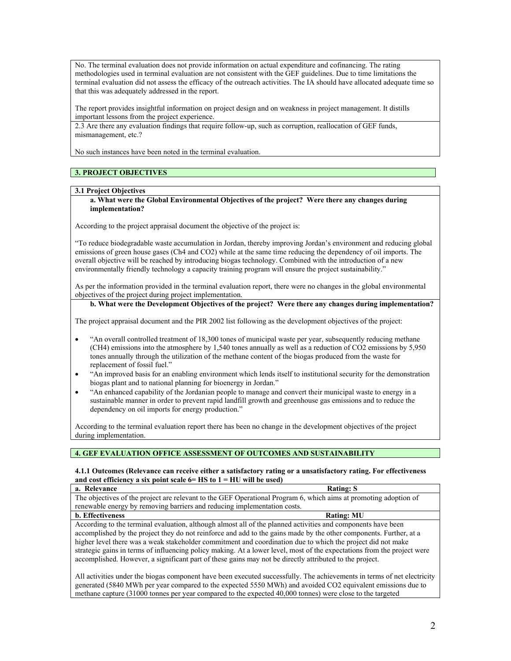No. The terminal evaluation does not provide information on actual expenditure and cofinancing. The rating methodologies used in terminal evaluation are not consistent with the GEF guidelines. Due to time limitations the terminal evaluation did not assess the efficacy of the outreach activities. The IA should have allocated adequate time so that this was adequately addressed in the report.

The report provides insightful information on project design and on weakness in project management. It distills important lessons from the project experience.

2.3 Are there any evaluation findings that require follow-up, such as corruption, reallocation of GEF funds, mismanagement, etc.?

No such instances have been noted in the terminal evaluation.

# **3. PROJECT OBJECTIVES**

#### **3.1 Project Objectives**

#### **a. What were the Global Environmental Objectives of the project? Were there any changes during implementation?**

According to the project appraisal document the objective of the project is:

"To reduce biodegradable waste accumulation in Jordan, thereby improving Jordan's environment and reducing global emissions of green house gases (Ch4 and CO2) while at the same time reducing the dependency of oil imports. The overall objective will be reached by introducing biogas technology. Combined with the introduction of a new environmentally friendly technology a capacity training program will ensure the project sustainability."

As per the information provided in the terminal evaluation report, there were no changes in the global environmental objectives of the project during project implementation.

# **b. What were the Development Objectives of the project? Were there any changes during implementation?**

The project appraisal document and the PIR 2002 list following as the development objectives of the project:

- "An overall controlled treatment of 18,300 tones of municipal waste per year, subsequently reducing methane (CH4) emissions into the atmosphere by 1,540 tones annually as well as a reduction of CO2 emissions by 5,950 tones annually through the utilization of the methane content of the biogas produced from the waste for replacement of fossil fuel."
- "An improved basis for an enabling environment which lends itself to institutional security for the demonstration biogas plant and to national planning for bioenergy in Jordan."
- "An enhanced capability of the Jordanian people to manage and convert their municipal waste to energy in a sustainable manner in order to prevent rapid landfill growth and greenhouse gas emissions and to reduce the dependency on oil imports for energy production."

According to the terminal evaluation report there has been no change in the development objectives of the project during implementation.

## **4. GEF EVALUATION OFFICE ASSESSMENT OF OUTCOMES AND SUSTAINABILITY**

#### **4.1.1 Outcomes (Relevance can receive either a satisfactory rating or a unsatisfactory rating. For effectiveness and cost efficiency a six point scale 6= HS to 1 = HU will be used)**

| a. Relevance                                                                                                                                                                                                                                                                                                                                                                                                                                                 | <b>Rating: S</b>                                                                                                                                                                                                                                                                                                                                                                                                                               |  |
|--------------------------------------------------------------------------------------------------------------------------------------------------------------------------------------------------------------------------------------------------------------------------------------------------------------------------------------------------------------------------------------------------------------------------------------------------------------|------------------------------------------------------------------------------------------------------------------------------------------------------------------------------------------------------------------------------------------------------------------------------------------------------------------------------------------------------------------------------------------------------------------------------------------------|--|
| The objectives of the project are relevant to the GEF Operational Program 6, which aims at promoting adoption of                                                                                                                                                                                                                                                                                                                                             |                                                                                                                                                                                                                                                                                                                                                                                                                                                |  |
| renewable energy by removing barriers and reducing implementation costs.                                                                                                                                                                                                                                                                                                                                                                                     |                                                                                                                                                                                                                                                                                                                                                                                                                                                |  |
| <b>b.</b> Effectiveness                                                                                                                                                                                                                                                                                                                                                                                                                                      | <b>Rating: MU</b>                                                                                                                                                                                                                                                                                                                                                                                                                              |  |
| According to the terminal evaluation, although almost all of the planned activities and components have been<br>accomplished by the project they do not reinforce and add to the gains made by the other components. Further, at a<br>higher level there was a weak stakeholder commitment and coordination due to which the project did not make<br>accomplished. However, a significant part of these gains may not be directly attributed to the project. | strategic gains in terms of influencing policy making. At a lower level, most of the expectations from the project were                                                                                                                                                                                                                                                                                                                        |  |
|                                                                                                                                                                                                                                                                                                                                                                                                                                                              | All activities under the biogas component have been executed successfully. The achievements in terms of net electricity<br>$\frac{1}{2}$ $\frac{1}{2}$ $\frac{1}{2}$ $\frac{1}{2}$ $\frac{1}{2}$ $\frac{1}{2}$ $\frac{1}{2}$ $\frac{1}{2}$ $\frac{1}{2}$ $\frac{1}{2}$ $\frac{1}{2}$ $\frac{1}{2}$ $\frac{1}{2}$ $\frac{1}{2}$ $\frac{1}{2}$ $\frac{1}{2}$ $\frac{1}{2}$ $\frac{1}{2}$ $\frac{1}{2}$ $\frac{1}{2}$ $\frac{1}{2}$ $\frac{1}{2}$ |  |

generated (5840 MWh per year compared to the expected 5550 MWh) and avoided CO2 equivalent emissions due to methane capture (31000 tonnes per year compared to the expected 40,000 tonnes) were close to the targeted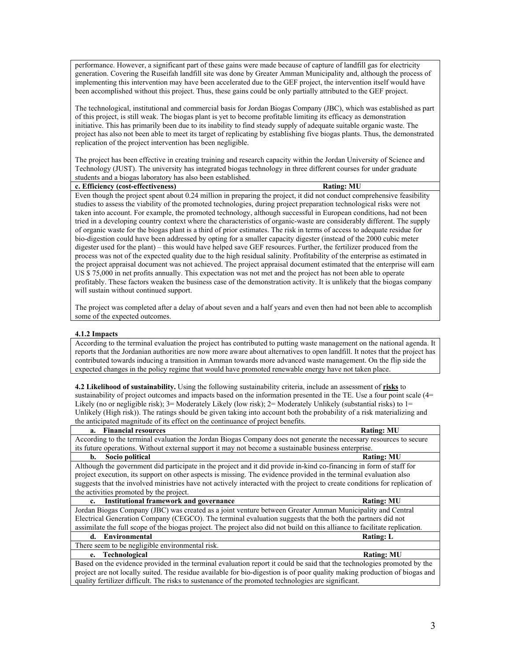performance. However, a significant part of these gains were made because of capture of landfill gas for electricity generation. Covering the Ruseifah landfill site was done by Greater Amman Municipality and, although the process of implementing this intervention may have been accelerated due to the GEF project, the intervention itself would have been accomplished without this project. Thus, these gains could be only partially attributed to the GEF project.

The technological, institutional and commercial basis for Jordan Biogas Company (JBC), which was established as part of this project, is still weak. The biogas plant is yet to become profitable limiting its efficacy as demonstration initiative. This has primarily been due to its inability to find steady supply of adequate suitable organic waste. The project has also not been able to meet its target of replicating by establishing five biogas plants. Thus, the demonstrated replication of the project intervention has been negligible.

The project has been effective in creating training and research capacity within the Jordan University of Science and Technology (JUST). The university has integrated biogas technology in three different courses for under graduate students and a biogas laboratory has also been established.

### **c. Efficiency (cost-effectiveness) Rating: MU**

Even though the project spent about 0.24 million in preparing the project, it did not conduct comprehensive feasibility studies to assess the viability of the promoted technologies, during project preparation technological risks were not taken into account. For example, the promoted technology, although successful in European conditions, had not been tried in a developing country context where the characteristics of organic-waste are considerably different. The supply of organic waste for the biogas plant is a third of prior estimates. The risk in terms of access to adequate residue for bio-digestion could have been addressed by opting for a smaller capacity digester (instead of the 2000 cubic meter digester used for the plant) – this would have helped save GEF resources. Further, the fertilizer produced from the process was not of the expected quality due to the high residual salinity. Profitability of the enterprise as estimated in the project appraisal document was not achieved. The project appraisal document estimated that the enterprise will earn US \$ 75,000 in net profits annually. This expectation was not met and the project has not been able to operate profitably. These factors weaken the business case of the demonstration activity. It is unlikely that the biogas company will sustain without continued support.

The project was completed after a delay of about seven and a half years and even then had not been able to accomplish some of the expected outcomes.

#### **4.1.2 Impacts**

According to the terminal evaluation the project has contributed to putting waste management on the national agenda. It reports that the Jordanian authorities are now more aware about alternatives to open landfill. It notes that the project has contributed towards inducing a transition in Amman towards more advanced waste management. On the flip side the expected changes in the policy regime that would have promoted renewable energy have not taken place.

**4.2 Likelihood of sustainability.** Using the following sustainability criteria, include an assessment of **risks** to sustainability of project outcomes and impacts based on the information presented in the TE. Use a four point scale (4= Likely (no or negligible risk); 3= Moderately Likely (low risk); 2= Moderately Unlikely (substantial risks) to 1= Unlikely (High risk)). The ratings should be given taking into account both the probability of a risk materializing and the anticipated magnitude of its effect on the continuance of project benefits.

| <b>Financial resources</b><br>a.                                                                                            | <b>Rating: MU</b> |  |
|-----------------------------------------------------------------------------------------------------------------------------|-------------------|--|
| According to the terminal evaluation the Jordan Biogas Company does not generate the necessary resources to secure          |                   |  |
| its future operations. Without external support it may not become a sustainable business enterprise.                        |                   |  |
| Socio political<br>b.                                                                                                       | <b>Rating: MU</b> |  |
| Although the government did participate in the project and it did provide in-kind co-financing in form of staff for         |                   |  |
| project execution, its support on other aspects is missing. The evidence provided in the terminal evaluation also           |                   |  |
| suggests that the involved ministries have not actively interacted with the project to create conditions for replication of |                   |  |
| the activities promoted by the project.                                                                                     |                   |  |
| Institutional framework and governance<br>$c_{\cdot}$                                                                       | <b>Rating: MU</b> |  |
| Jordan Biogas Company (JBC) was created as a joint venture between Greater Amman Municipality and Central                   |                   |  |
| Electrical Generation Company (CEGCO). The terminal evaluation suggests that the both the partners did not                  |                   |  |
| assimilate the full scope of the biogas project. The project also did not build on this alliance to facilitate replication. |                   |  |
| Environmental<br>d.                                                                                                         | <b>Rating: L</b>  |  |
| There seem to be negligible environmental risk.                                                                             |                   |  |
| <b>Technological</b><br>e.                                                                                                  | <b>Rating: MU</b> |  |
| Based on the evidence provided in the terminal evaluation report it could be said that the technologies promoted by the     |                   |  |
| project are not locally suited. The residue available for bio-digestion is of poor quality making production of biogas and  |                   |  |
| quality fertilizer difficult. The risks to sustenance of the promoted technologies are significant.                         |                   |  |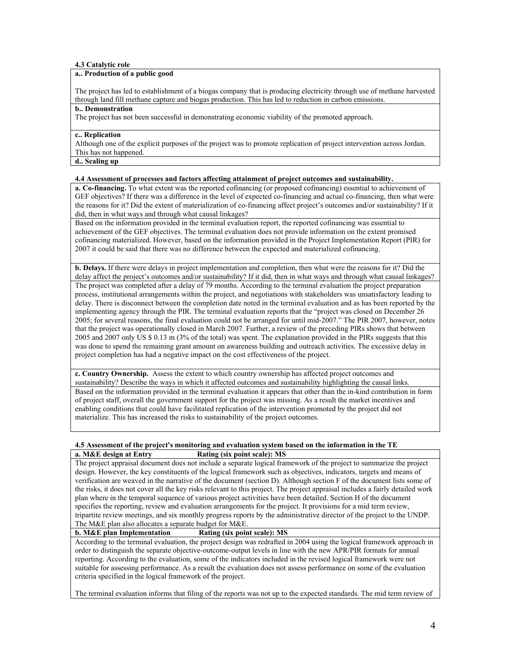## **4.3 Catalytic role**

## **a.. Production of a public good**

The project has led to establishment of a biogas company that is producing electricity through use of methane harvested through land fill methane capture and biogas production. This has led to reduction in carbon emissions.

#### **b.. Demonstration**

The project has not been successful in demonstrating economic viability of the promoted approach.

# **c.. Replication**

Although one of the explicit purposes of the project was to promote replication of project intervention across Jordan. This has not happened.

## **d.. Scaling up**

# **4.4 Assessment of processes and factors affecting attainment of project outcomes and sustainability.**

**a. Co-financing.** To what extent was the reported cofinancing (or proposed cofinancing) essential to achievement of GEF objectives? If there was a difference in the level of expected co-financing and actual co-financing, then what were the reasons for it? Did the extent of materialization of co-financing affect project's outcomes and/or sustainability? If it did, then in what ways and through what causal linkages?

Based on the information provided in the terminal evaluation report, the reported cofinancing was essential to achievement of the GEF objectives. The terminal evaluation does not provide information on the extent promised cofinancing materialized. However, based on the information provided in the Project Implementation Report (PIR) for 2007 it could be said that there was no difference between the expected and materialized cofinancing.

**b. Delays.** If there were delays in project implementation and completion, then what were the reasons for it? Did the delay affect the project's outcomes and/or sustainability? If it did, then in what ways and through what causal linkages? The project was completed after a delay of 79 months. According to the terminal evaluation the project preparation process, institutional arrangements within the project, and negotiations with stakeholders was unsatisfactory leading to delay. There is disconnect between the completion date noted in the terminal evaluation and as has been reported by the implementing agency through the PIR. The terminal evaluation reports that the "project was closed on December 26 2005; for several reasons, the final evaluation could not be arranged for until mid-2007." The PIR 2007, however, notes that the project was operationally closed in March 2007. Further, a review of the preceding PIRs shows that between 2005 and 2007 only US \$ 0.13 m (3% of the total) was spent. The explanation provided in the PIRs suggests that this was done to spend the remaining grant amount on awareness building and outreach activities. The excessive delay in project completion has had a negative impact on the cost effectiveness of the project.

**c. Country Ownership.** Assess the extent to which country ownership has affected project outcomes and sustainability? Describe the ways in which it affected outcomes and sustainability highlighting the causal links. Based on the information provided in the terminal evaluation it appears that other than the in-kind contribution in form of project staff, overall the government support for the project was missing. As a result the market incentives and enabling conditions that could have facilitated replication of the intervention promoted by the project did not materialize. This has increased the risks to sustainability of the project outcomes.

## **4.5 Assessment of the project's monitoring and evaluation system based on the information in the TE a. M&E design at Entry Rating (six point scale): MS**

The project appraisal document does not include a separate logical framework of the project to summarize the project design. However, the key constituents of the logical framework such as objectives, indicators, targets and means of verification are weaved in the narrative of the document (section D). Although section F of the document lists some of the risks, it does not cover all the key risks relevant to this project. The project appraisal includes a fairly detailed work plan where in the temporal sequence of various project activities have been detailed. Section H of the document specifies the reporting, review and evaluation arrangements for the project. It provisions for a mid term review, tripartite review meetings, and six monthly progress reports by the administrative director of the project to the UNDP.

#### The M&E plan also allocates a separate budget for M&E.<br>b. M&E plan Implementation Rating (six point **Rating (six point scale): MS**

According to the terminal evaluation, the project design was redrafted in 2004 using the logical framework approach in order to distinguish the separate objective-outcome-output levels in line with the new APR/PIR formats for annual reporting. According to the evaluation, some of the indicators included in the revised logical framework were not suitable for assessing performance. As a result the evaluation does not assess performance on some of the evaluation criteria specified in the logical framework of the project.

The terminal evaluation informs that filing of the reports was not up to the expected standards. The mid term review of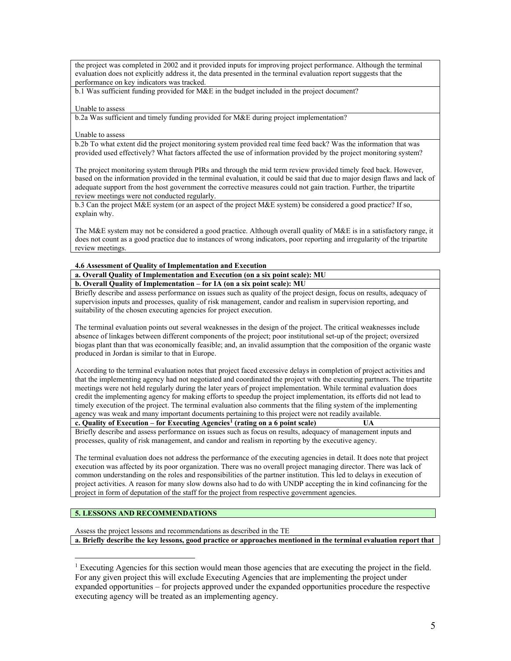the project was completed in 2002 and it provided inputs for improving project performance. Although the terminal evaluation does not explicitly address it, the data presented in the terminal evaluation report suggests that the performance on key indicators was tracked.

b.1 Was sufficient funding provided for M&E in the budget included in the project document?

#### Unable to assess

b.2a Was sufficient and timely funding provided for M&E during project implementation?

#### Unable to assess

b.2b To what extent did the project monitoring system provided real time feed back? Was the information that was provided used effectively? What factors affected the use of information provided by the project monitoring system?

The project monitoring system through PIRs and through the mid term review provided timely feed back. However, based on the information provided in the terminal evaluation, it could be said that due to major design flaws and lack of adequate support from the host government the corrective measures could not gain traction. Further, the tripartite review meetings were not conducted regularly.

b.3 Can the project M&E system (or an aspect of the project M&E system) be considered a good practice? If so, explain why.

The M&E system may not be considered a good practice. Although overall quality of M&E is in a satisfactory range, it does not count as a good practice due to instances of wrong indicators, poor reporting and irregularity of the tripartite review meetings.

## **4.6 Assessment of Quality of Implementation and Execution**

**a. Overall Quality of Implementation and Execution (on a six point scale): MU**

**b. Overall Quality of Implementation – for IA (on a six point scale): MU**

Briefly describe and assess performance on issues such as quality of the project design, focus on results, adequacy of supervision inputs and processes, quality of risk management, candor and realism in supervision reporting, and suitability of the chosen executing agencies for project execution.

The terminal evaluation points out several weaknesses in the design of the project. The critical weaknesses include absence of linkages between different components of the project; poor institutional set-up of the project; oversized biogas plant than that was economically feasible; and, an invalid assumption that the composition of the organic waste produced in Jordan is similar to that in Europe.

According to the terminal evaluation notes that project faced excessive delays in completion of project activities and that the implementing agency had not negotiated and coordinated the project with the executing partners. The tripartite meetings were not held regularly during the later years of project implementation. While terminal evaluation does credit the implementing agency for making efforts to speedup the project implementation, its efforts did not lead to timely execution of the project. The terminal evaluation also comments that the filing system of the implementing agency was weak and many important documents pertaining to this project were not readily available. **c. Quality of Execution – for Executing Agencies[1](#page-4-0) (rating on a 6 point scale) UA**

Briefly describe and assess performance on issues such as focus on results, adequacy of management inputs and processes, quality of risk management, and candor and realism in reporting by the executive agency.

The terminal evaluation does not address the performance of the executing agencies in detail. It does note that project execution was affected by its poor organization. There was no overall project managing director. There was lack of common understanding on the roles and responsibilities of the partner institution. This led to delays in execution of project activities. A reason for many slow downs also had to do with UNDP accepting the in kind cofinancing for the project in form of deputation of the staff for the project from respective government agencies.

# **5. LESSONS AND RECOMMENDATIONS**

 $\overline{a}$ 

Assess the project lessons and recommendations as described in the TE

**a. Briefly describe the key lessons, good practice or approaches mentioned in the terminal evaluation report that** 

<span id="page-4-0"></span><sup>&</sup>lt;sup>1</sup> Executing Agencies for this section would mean those agencies that are executing the project in the field. For any given project this will exclude Executing Agencies that are implementing the project under expanded opportunities – for projects approved under the expanded opportunities procedure the respective executing agency will be treated as an implementing agency.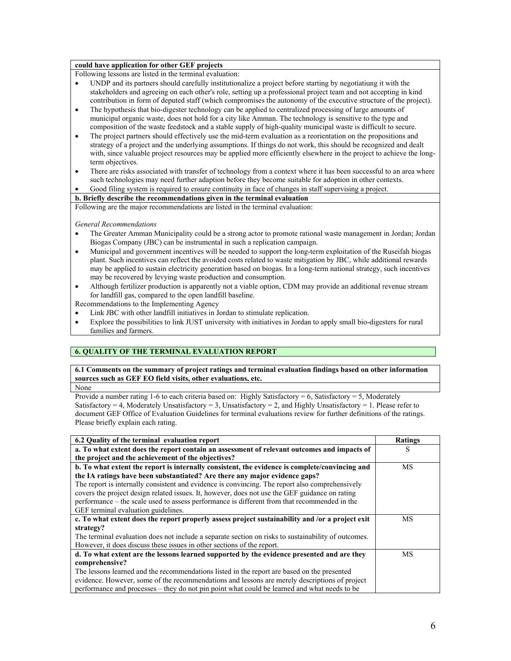# **could have application for other GEF projects**

Following lessons are listed in the terminal evaluation:

- UNDP and its partners should carefully institutionalize a project before starting by negotiatiung it with the stakeholders and agreeing on each other's role, setting up a professional project team and not accepting in kind contribution in form of deputed staff (which compromises the autonomy of the executive structure of the project).
- The hypothesis that bio-digester technology can be applied to centralized processing of large amounts of municipal organic waste, does not hold for a city like Amman. The technology is sensitive to the type and composition of the waste feedstock and a stable supply of high-quality municipal waste is difficult to secure.
- The project partners should effectively use the mid-term evaluation as a reorientation on the propositions and strategy of a project and the underlying assumptions. If things do not work, this should be recognized and dealt with, since valuable project resources may be applied more efficiently elsewhere in the project to achieve the longterm objectives.
- There are risks associated with transfer of technology from a context where it has been successful to an area where such technologies may need further adaption before they become suitable for adoption in other contexts.
- Good filing system is required to ensure continuity in face of changes in staff supervising a project.

## **b. Briefly describe the recommendations given in the terminal evaluation**

Following are the major recommendations are listed in the terminal evaluation:

## *General Recommendations*

- The Greater Amman Municipality could be a strong actor to promote rational waste management in Jordan; Jordan Biogas Company (JBC) can be instrumental in such a replication campaign.
- Municipal and government incentives will be needed to support the long-term exploitation of the Ruseifah biogas plant. Such incentives can reflect the avoided costs related to waste mitigation by JBC, while additional rewards may be applied to sustain electricity generation based on biogas. In a long-term national strategy, such incentives may be recovered by levying waste production and consumption.
- Although fertilizer production is apparently not a viable option, CDM may provide an additional revenue stream for landfill gas, compared to the open landfill baseline.

Recommendations to the Implementing Agency

- Link JBC with other landfill initiatives in Jordan to stimulate replication.
- Explore the possibilities to link JUST university with initiatives in Jordan to apply small bio-digesters for rural families and farmers.

# **6. QUALITY OF THE TERMINAL EVALUATION REPORT**

**6.1 Comments on the summary of project ratings and terminal evaluation findings based on other information sources such as GEF EO field visits, other evaluations, etc.**  None

Provide a number rating 1-6 to each criteria based on: Highly Satisfactory = 6, Satisfactory = 5, Moderately Satisfactory = 4, Moderately Unsatisfactory = 3, Unsatisfactory = 2, and Highly Unsatisfactory = 1. Please refer to document GEF Office of Evaluation Guidelines for terminal evaluations review for further definitions of the ratings. Please briefly explain each rating.

| 6.2 Quality of the terminal evaluation report                                                                                                     | <b>Ratings</b> |
|---------------------------------------------------------------------------------------------------------------------------------------------------|----------------|
| a. To what extent does the report contain an assessment of relevant outcomes and impacts of<br>the project and the achievement of the objectives? | S              |
| b. To what extent the report is internally consistent, the evidence is complete/convincing and                                                    | <b>MS</b>      |
| the IA ratings have been substantiated? Are there any major evidence gaps?                                                                        |                |
| The report is internally consistent and evidence is convincing. The report also comprehensively                                                   |                |
| covers the project design related issues. It, however, does not use the GEF guidance on rating                                                    |                |
| performance – the scale used to assess performance is different from that recommended in the                                                      |                |
| GEF terminal evaluation guidelines.                                                                                                               |                |
| c. To what extent does the report properly assess project sustainability and /or a project exit                                                   | МS             |
| strategy?                                                                                                                                         |                |
| The terminal evaluation does not include a separate section on risks to sustainability of outcomes.                                               |                |
| However, it does discuss these issues in other sections of the report.                                                                            |                |
| d. To what extent are the lessons learned supported by the evidence presented and are they                                                        | MS             |
| comprehensive?                                                                                                                                    |                |
| The lessons learned and the recommendations listed in the report are based on the presented                                                       |                |
| evidence. However, some of the recommendations and lessons are merely descriptions of project                                                     |                |
| performance and processes – they do not pin point what could be learned and what needs to be                                                      |                |